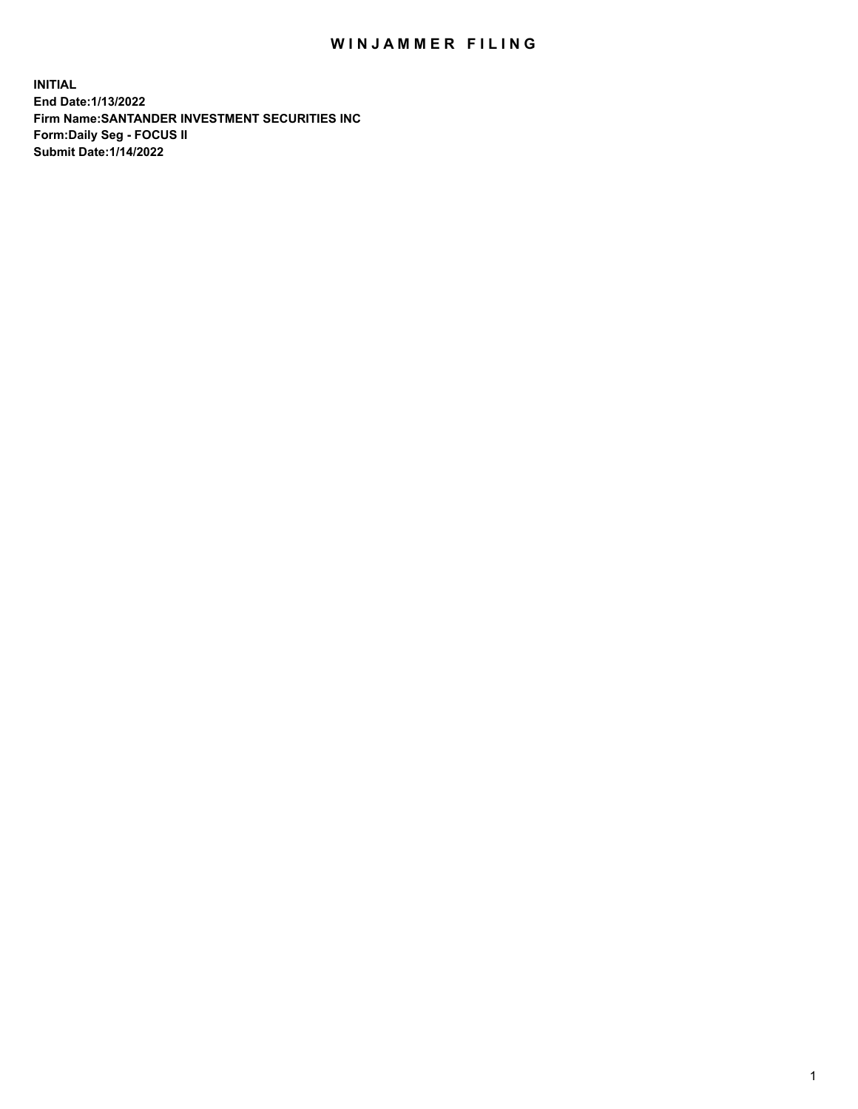## WIN JAMMER FILING

**INITIAL End Date:1/13/2022 Firm Name:SANTANDER INVESTMENT SECURITIES INC Form:Daily Seg - FOCUS II Submit Date:1/14/2022**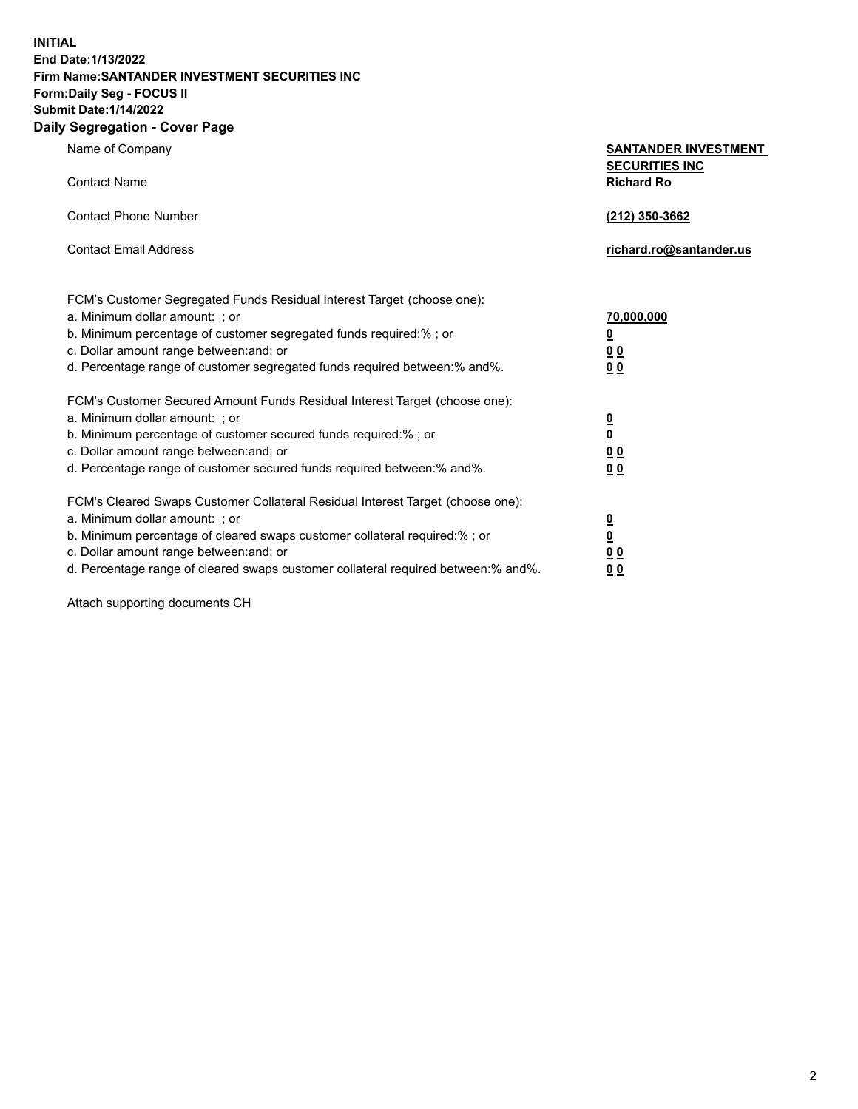**INITIAL End Date:1/13/2022 Firm Name:SANTANDER INVESTMENT SECURITIES INC Form:Daily Seg - FOCUS II Submit Date:1/14/2022 Daily Segregation - Cover Page**

Name of Company **SANTANDER INVESTMENT SECURITIES INC** Contact Name **Richard Ro** Contact Phone Number **(212) 350-3662** Contact Email Address **richard.ro@santander.us** FCM's Customer Segregated Funds Residual Interest Target (choose one): a. Minimum dollar amount: ; or **70,000,000** b. Minimum percentage of customer segregated funds required:% ; or **0** c. Dollar amount range between:and; or **0 0** d. Percentage range of customer segregated funds required between:% and%. **0 0** FCM's Customer Secured Amount Funds Residual Interest Target (choose one): a. Minimum dollar amount: ; or **0** b. Minimum percentage of customer secured funds required:% ; or **0** c. Dollar amount range between:and; or **0 0** d. Percentage range of customer secured funds required between:% and%. **0 0** FCM's Cleared Swaps Customer Collateral Residual Interest Target (choose one): a. Minimum dollar amount: ; or **0** b. Minimum percentage of cleared swaps customer collateral required:% ; or **0** c. Dollar amount range between:and; or **0 0** d. Percentage range of cleared swaps customer collateral required between:% and%. **0 0**

Attach supporting documents CH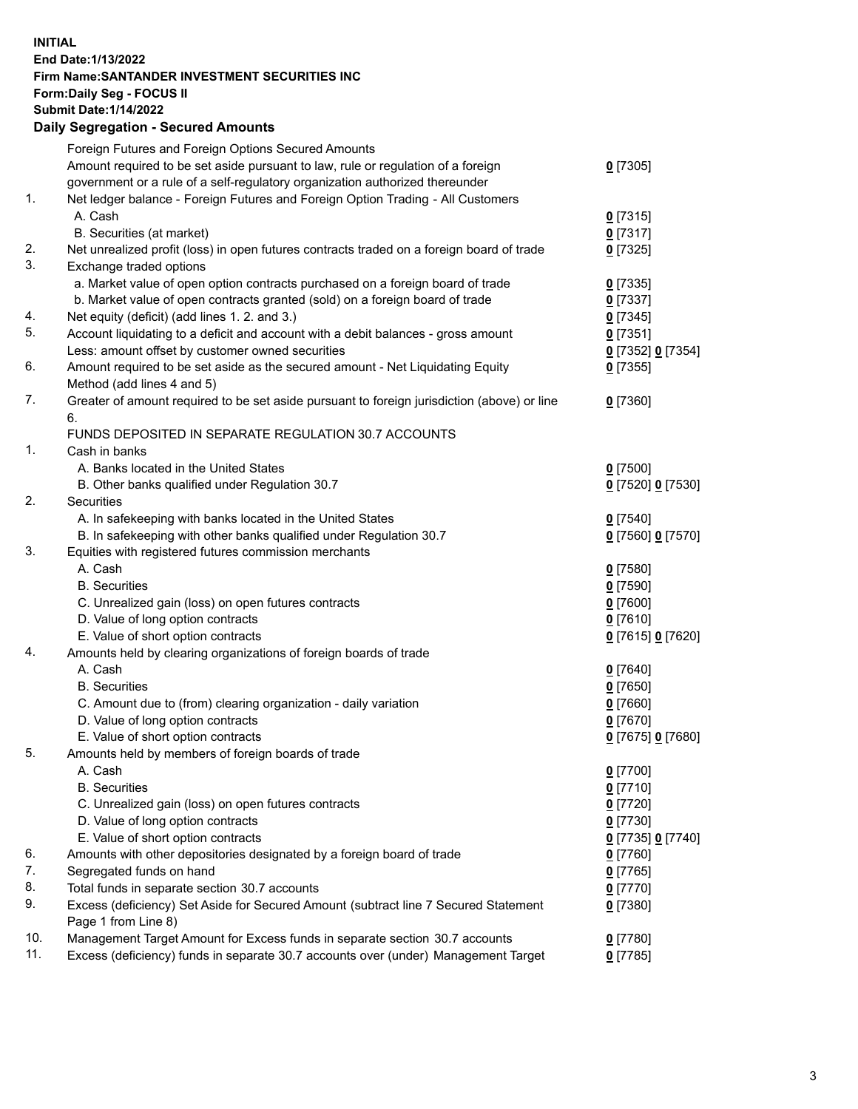## **INITIAL End Date:1/13/2022 Firm Name:SANTANDER INVESTMENT SECURITIES INC Form:Daily Seg - FOCUS II Submit Date:1/14/2022 Daily Segregation - Secured Amounts**

|     | Foreign Futures and Foreign Options Secured Amounts                                         |                   |
|-----|---------------------------------------------------------------------------------------------|-------------------|
|     | Amount required to be set aside pursuant to law, rule or regulation of a foreign            | $0$ [7305]        |
|     | government or a rule of a self-regulatory organization authorized thereunder                |                   |
| 1.  | Net ledger balance - Foreign Futures and Foreign Option Trading - All Customers             |                   |
|     | A. Cash                                                                                     | $0$ [7315]        |
|     | B. Securities (at market)                                                                   | $0$ [7317]        |
| 2.  | Net unrealized profit (loss) in open futures contracts traded on a foreign board of trade   | $0$ [7325]        |
| 3.  | Exchange traded options                                                                     |                   |
|     | a. Market value of open option contracts purchased on a foreign board of trade              | $0$ [7335]        |
|     | b. Market value of open contracts granted (sold) on a foreign board of trade                | $0$ [7337]        |
| 4.  | Net equity (deficit) (add lines 1. 2. and 3.)                                               | $0$ [7345]        |
| 5.  | Account liquidating to a deficit and account with a debit balances - gross amount           | $0$ [7351]        |
|     | Less: amount offset by customer owned securities                                            | 0 [7352] 0 [7354] |
| 6.  | Amount required to be set aside as the secured amount - Net Liquidating Equity              | $0$ [7355]        |
|     | Method (add lines 4 and 5)                                                                  |                   |
| 7.  | Greater of amount required to be set aside pursuant to foreign jurisdiction (above) or line | $0$ [7360]        |
|     | 6.                                                                                          |                   |
|     | FUNDS DEPOSITED IN SEPARATE REGULATION 30.7 ACCOUNTS                                        |                   |
| 1.  | Cash in banks                                                                               |                   |
|     | A. Banks located in the United States                                                       | $0$ [7500]        |
|     | B. Other banks qualified under Regulation 30.7                                              | 0 [7520] 0 [7530] |
| 2.  | Securities                                                                                  |                   |
|     | A. In safekeeping with banks located in the United States                                   | $0$ [7540]        |
|     | B. In safekeeping with other banks qualified under Regulation 30.7                          | 0 [7560] 0 [7570] |
| 3.  | Equities with registered futures commission merchants                                       |                   |
|     | A. Cash                                                                                     | $0$ [7580]        |
|     | <b>B.</b> Securities                                                                        | $0$ [7590]        |
|     | C. Unrealized gain (loss) on open futures contracts                                         | $0$ [7600]        |
|     | D. Value of long option contracts                                                           | $0$ [7610]        |
|     | E. Value of short option contracts                                                          | 0 [7615] 0 [7620] |
| 4.  | Amounts held by clearing organizations of foreign boards of trade                           |                   |
|     | A. Cash                                                                                     | $0$ [7640]        |
|     | <b>B.</b> Securities                                                                        | $0$ [7650]        |
|     | C. Amount due to (from) clearing organization - daily variation                             | $0$ [7660]        |
|     | D. Value of long option contracts                                                           | $0$ [7670]        |
|     | E. Value of short option contracts                                                          | 0 [7675] 0 [7680] |
| 5.  | Amounts held by members of foreign boards of trade                                          |                   |
|     | A. Cash                                                                                     | $0$ [7700]        |
|     | <b>B.</b> Securities                                                                        | $0$ [7710]        |
|     | C. Unrealized gain (loss) on open futures contracts                                         | $0$ [7720]        |
|     | D. Value of long option contracts                                                           | $0$ [7730]        |
|     | E. Value of short option contracts                                                          | 0 [7735] 0 [7740] |
| 6.  | Amounts with other depositories designated by a foreign board of trade                      | $0$ [7760]        |
| 7.  | Segregated funds on hand                                                                    | $0$ [7765]        |
| 8.  | Total funds in separate section 30.7 accounts                                               | 0 [7770]          |
| 9.  | Excess (deficiency) Set Aside for Secured Amount (subtract line 7 Secured Statement         | $0$ [7380]        |
|     | Page 1 from Line 8)                                                                         |                   |
| 10. | Management Target Amount for Excess funds in separate section 30.7 accounts                 | $0$ [7780]        |
| 11. | Excess (deficiency) funds in separate 30.7 accounts over (under) Management Target          | $0$ [7785]        |
|     |                                                                                             |                   |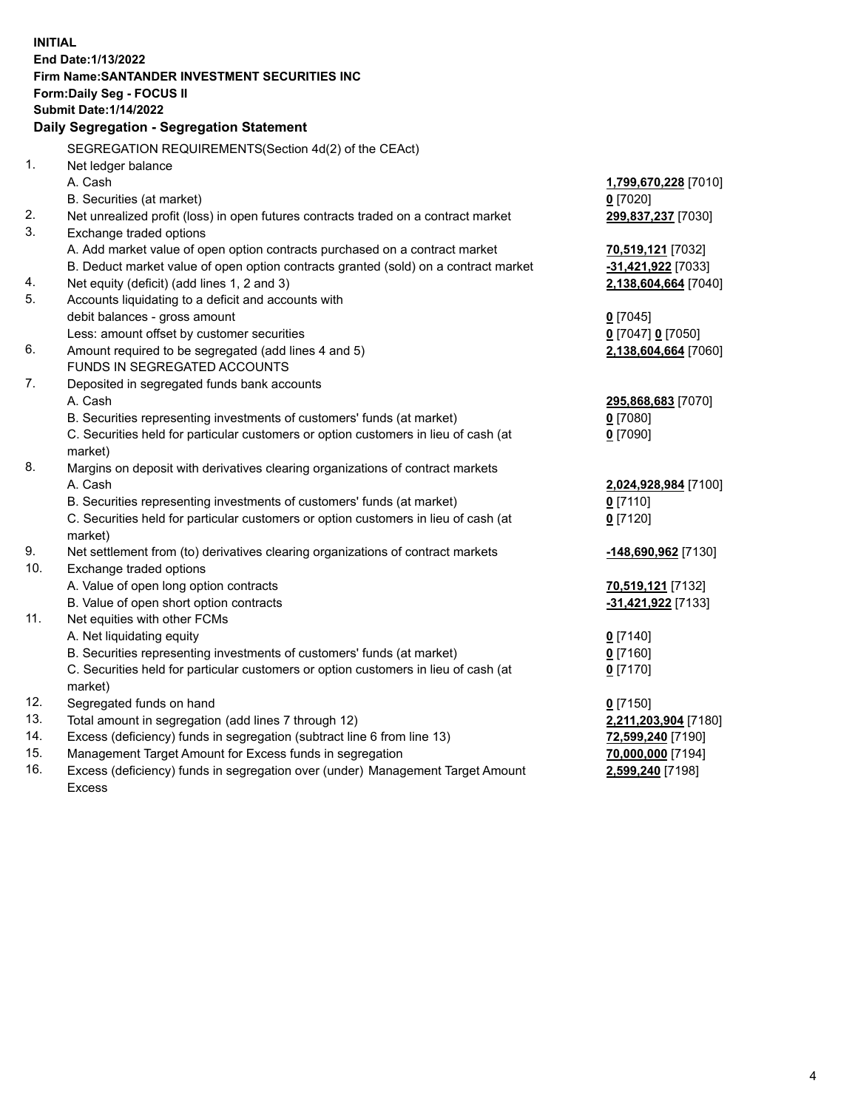| <b>INITIAL</b> |                                                                                                |                          |  |  |  |
|----------------|------------------------------------------------------------------------------------------------|--------------------------|--|--|--|
|                | End Date: 1/13/2022                                                                            |                          |  |  |  |
|                | Firm Name: SANTANDER INVESTMENT SECURITIES INC                                                 |                          |  |  |  |
|                | Form: Daily Seg - FOCUS II                                                                     |                          |  |  |  |
|                | <b>Submit Date: 1/14/2022</b>                                                                  |                          |  |  |  |
|                | Daily Segregation - Segregation Statement                                                      |                          |  |  |  |
|                | SEGREGATION REQUIREMENTS(Section 4d(2) of the CEAct)                                           |                          |  |  |  |
| 1.             | Net ledger balance                                                                             |                          |  |  |  |
|                | A. Cash                                                                                        | 1,799,670,228 [7010]     |  |  |  |
|                | B. Securities (at market)                                                                      | $0$ [7020]               |  |  |  |
| 2.             | Net unrealized profit (loss) in open futures contracts traded on a contract market             | 299,837,237 [7030]       |  |  |  |
| 3.             | Exchange traded options                                                                        |                          |  |  |  |
|                | A. Add market value of open option contracts purchased on a contract market                    | 70,519,121 [7032]        |  |  |  |
|                | B. Deduct market value of open option contracts granted (sold) on a contract market            | -31,421,922 [7033]       |  |  |  |
| 4.             | Net equity (deficit) (add lines 1, 2 and 3)                                                    | 2,138,604,664 [7040]     |  |  |  |
| 5.             | Accounts liquidating to a deficit and accounts with                                            |                          |  |  |  |
|                | debit balances - gross amount                                                                  | $0$ [7045]               |  |  |  |
|                | Less: amount offset by customer securities                                                     | 0 [7047] 0 [7050]        |  |  |  |
| 6.             | Amount required to be segregated (add lines 4 and 5)                                           | 2,138,604,664 [7060]     |  |  |  |
|                | FUNDS IN SEGREGATED ACCOUNTS                                                                   |                          |  |  |  |
| 7.             | Deposited in segregated funds bank accounts                                                    |                          |  |  |  |
|                | A. Cash                                                                                        | 295,868,683 [7070]       |  |  |  |
|                | B. Securities representing investments of customers' funds (at market)                         | $0$ [7080]<br>$0$ [7090] |  |  |  |
|                | C. Securities held for particular customers or option customers in lieu of cash (at<br>market) |                          |  |  |  |
| 8.             | Margins on deposit with derivatives clearing organizations of contract markets                 |                          |  |  |  |
|                | A. Cash                                                                                        | 2,024,928,984 [7100]     |  |  |  |
|                | B. Securities representing investments of customers' funds (at market)                         | $0$ [7110]               |  |  |  |
|                | C. Securities held for particular customers or option customers in lieu of cash (at            | $0$ [7120]               |  |  |  |
|                | market)                                                                                        |                          |  |  |  |
| 9.             | Net settlement from (to) derivatives clearing organizations of contract markets                | -148,690,962 [7130]      |  |  |  |
| 10.            | Exchange traded options                                                                        |                          |  |  |  |
|                | A. Value of open long option contracts                                                         | 70,519,121 [7132]        |  |  |  |
|                | B. Value of open short option contracts                                                        | -31,421,922 [7133]       |  |  |  |
| 11.            | Net equities with other FCMs                                                                   |                          |  |  |  |
|                | A. Net liquidating equity                                                                      | $0$ [7140]               |  |  |  |
|                | B. Securities representing investments of customers' funds (at market)                         | $0$ [7160]               |  |  |  |
|                | C. Securities held for particular customers or option customers in lieu of cash (at            | $0$ [7170]               |  |  |  |
|                | market)                                                                                        |                          |  |  |  |
| 12.            | Segregated funds on hand                                                                       | $0$ [7150]               |  |  |  |
| 13.            | Total amount in segregation (add lines 7 through 12)                                           | 2,211,203,904 [7180]     |  |  |  |
| 14.            | Excess (deficiency) funds in segregation (subtract line 6 from line 13)                        | 72,599,240 [7190]        |  |  |  |
| 15.            | Management Target Amount for Excess funds in segregation                                       | 70,000,000 [7194]        |  |  |  |
| 16.            | Excess (deficiency) funds in segregation over (under) Management Target Amount                 | 2,599,240 [7198]         |  |  |  |
|                | <b>Excess</b>                                                                                  |                          |  |  |  |